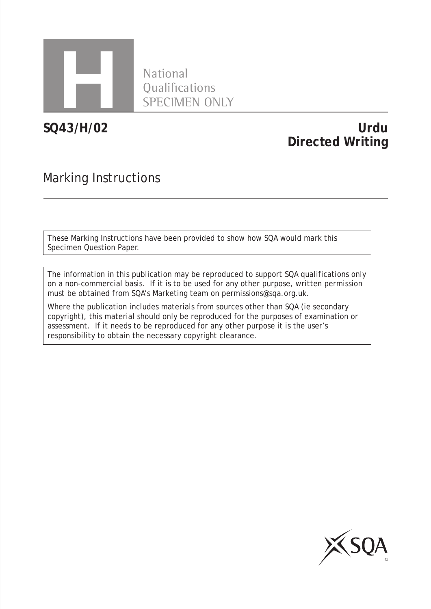

**National** Qualifications SPECIMEN ONLY

**SQ43/H/02**

## **Urdu Directed Writing**

## Marking Instructions

These Marking Instructions have been provided to show how SQA would mark this Specimen Question Paper.

The information in this publication may be reproduced to support SQA qualifications only on a non-commercial basis. If it is to be used for any other purpose, written permission must be obtained from SQA's Marketing team on permissions@sqa.org.uk.

Where the publication includes materials from sources other than SQA (ie secondary copyright), this material should only be reproduced for the purposes of examination or assessment. If it needs to be reproduced for any other purpose it is the user's responsibility to obtain the necessary copyright clearance.

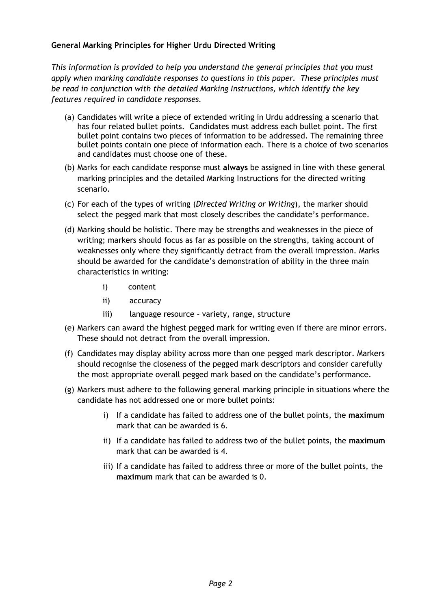## **General Marking Principles for Higher Urdu Directed Writing**

*This information is provided to help you understand the general principles that you must apply when marking candidate responses to questions in this paper. These principles must be read in conjunction with the detailed Marking Instructions, which identify the key features required in candidate responses.*

- (a) Candidates will write a piece of extended writing in Urdu addressing a scenario that has four related bullet points. Candidates must address each bullet point. The first bullet point contains two pieces of information to be addressed. The remaining three bullet points contain one piece of information each. There is a choice of two scenarios and candidates must choose one of these.
- (b) Marks for each candidate response must **always** be assigned in line with these general marking principles and the detailed Marking Instructions for the directed writing scenario.
- (c) For each of the types of writing (*Directed Writing or Writing*), the marker should select the pegged mark that most closely describes the candidate's performance.
- (d) Marking should be holistic. There may be strengths and weaknesses in the piece of writing; markers should focus as far as possible on the strengths, taking account of weaknesses only where they significantly detract from the overall impression. Marks should be awarded for the candidate's demonstration of ability in the three main characteristics in writing:
	- i) content
	- ii) accuracy
	- iii) language resource variety, range, structure
- (e) Markers can award the highest pegged mark for writing even if there are minor errors. These should not detract from the overall impression.
- (f) Candidates may display ability across more than one pegged mark descriptor. Markers should recognise the closeness of the pegged mark descriptors and consider carefully the most appropriate overall pegged mark based on the candidate's performance.
- (g) Markers must adhere to the following general marking principle in situations where the candidate has not addressed one or more bullet points:
	- i) If a candidate has failed to address one of the bullet points, the **maximum**  mark that can be awarded is 6.
	- ii) If a candidate has failed to address two of the bullet points, the **maximum** mark that can be awarded is 4.
	- iii) If a candidate has failed to address three or more of the bullet points, the **maximum** mark that can be awarded is 0.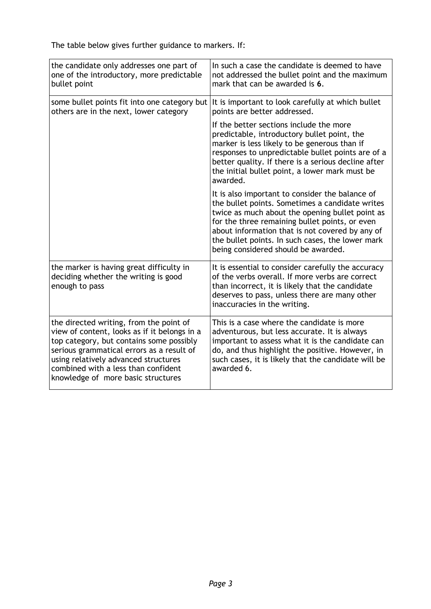The table below gives further guidance to markers. If:

| the candidate only addresses one part of<br>one of the introductory, more predictable<br>bullet point                                                                                                                                                                                                 | In such a case the candidate is deemed to have<br>not addressed the bullet point and the maximum<br>mark that can be awarded is 6.                                                                                                                                                                                                                    |
|-------------------------------------------------------------------------------------------------------------------------------------------------------------------------------------------------------------------------------------------------------------------------------------------------------|-------------------------------------------------------------------------------------------------------------------------------------------------------------------------------------------------------------------------------------------------------------------------------------------------------------------------------------------------------|
| some bullet points fit into one category but<br>others are in the next, lower category                                                                                                                                                                                                                | It is important to look carefully at which bullet<br>points are better addressed.                                                                                                                                                                                                                                                                     |
|                                                                                                                                                                                                                                                                                                       | If the better sections include the more<br>predictable, introductory bullet point, the<br>marker is less likely to be generous than if<br>responses to unpredictable bullet points are of a<br>better quality. If there is a serious decline after<br>the initial bullet point, a lower mark must be<br>awarded.                                      |
|                                                                                                                                                                                                                                                                                                       | It is also important to consider the balance of<br>the bullet points. Sometimes a candidate writes<br>twice as much about the opening bullet point as<br>for the three remaining bullet points, or even<br>about information that is not covered by any of<br>the bullet points. In such cases, the lower mark<br>being considered should be awarded. |
| the marker is having great difficulty in<br>deciding whether the writing is good<br>enough to pass                                                                                                                                                                                                    | It is essential to consider carefully the accuracy<br>of the verbs overall. If more verbs are correct<br>than incorrect, it is likely that the candidate<br>deserves to pass, unless there are many other<br>inaccuracies in the writing.                                                                                                             |
| the directed writing, from the point of<br>view of content, looks as if it belongs in a<br>top category, but contains some possibly<br>serious grammatical errors as a result of<br>using relatively advanced structures<br>combined with a less than confident<br>knowledge of more basic structures | This is a case where the candidate is more<br>adventurous, but less accurate. It is always<br>important to assess what it is the candidate can<br>do, and thus highlight the positive. However, in<br>such cases, it is likely that the candidate will be<br>awarded 6.                                                                               |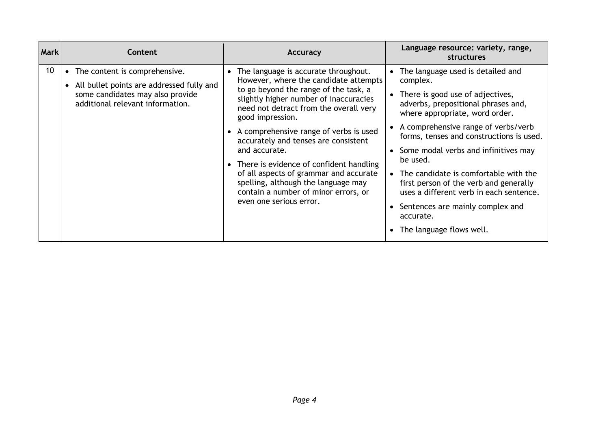| <b>Mark</b>     | Content                                                                                                                                                | Accuracy                                                                                                                                                                                                                                                                                                                                                                                                                                                                                                                               | Language resource: variety, range,<br><b>structures</b>                                                                                                                                                                                                                                                                                                                                                                                                                                                                    |
|-----------------|--------------------------------------------------------------------------------------------------------------------------------------------------------|----------------------------------------------------------------------------------------------------------------------------------------------------------------------------------------------------------------------------------------------------------------------------------------------------------------------------------------------------------------------------------------------------------------------------------------------------------------------------------------------------------------------------------------|----------------------------------------------------------------------------------------------------------------------------------------------------------------------------------------------------------------------------------------------------------------------------------------------------------------------------------------------------------------------------------------------------------------------------------------------------------------------------------------------------------------------------|
| 10 <sup>°</sup> | • The content is comprehensive.<br>• All bullet points are addressed fully and<br>some candidates may also provide<br>additional relevant information. | • The language is accurate throughout.<br>However, where the candidate attempts<br>to go beyond the range of the task, a<br>slightly higher number of inaccuracies<br>need not detract from the overall very<br>good impression.<br>• A comprehensive range of verbs is used<br>accurately and tenses are consistent<br>and accurate.<br>• There is evidence of confident handling<br>of all aspects of grammar and accurate<br>spelling, although the language may<br>contain a number of minor errors, or<br>even one serious error. | • The language used is detailed and<br>complex.<br>• There is good use of adjectives,<br>adverbs, prepositional phrases and,<br>where appropriate, word order.<br>• A comprehensive range of verbs/verb<br>forms, tenses and constructions is used.<br>• Some modal verbs and infinitives may<br>be used.<br>• The candidate is comfortable with the<br>first person of the verb and generally<br>uses a different verb in each sentence.<br>• Sentences are mainly complex and<br>accurate.<br>• The language flows well. |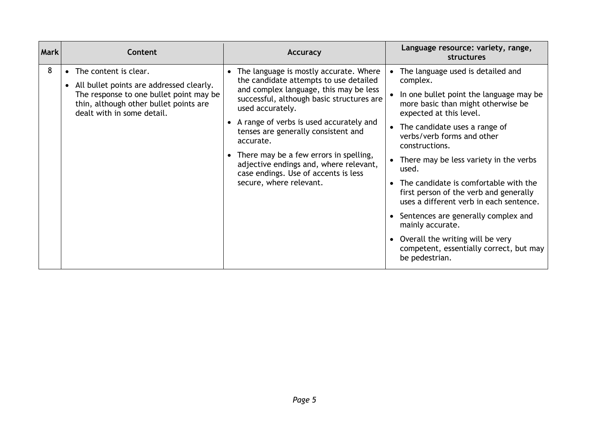| <b>Mark</b> | Content                                                                                                                                                                                           | Accuracy                                                                                                                                                                                                                                                                                                                                                                                                                                                | Language resource: variety, range,<br>structures                                                                                                                                                                                                                                                                                                                                                                                                                                                                                                                                              |
|-------------|---------------------------------------------------------------------------------------------------------------------------------------------------------------------------------------------------|---------------------------------------------------------------------------------------------------------------------------------------------------------------------------------------------------------------------------------------------------------------------------------------------------------------------------------------------------------------------------------------------------------------------------------------------------------|-----------------------------------------------------------------------------------------------------------------------------------------------------------------------------------------------------------------------------------------------------------------------------------------------------------------------------------------------------------------------------------------------------------------------------------------------------------------------------------------------------------------------------------------------------------------------------------------------|
| 8           | The content is clear.<br>$\bullet$<br>All bullet points are addressed clearly.<br>The response to one bullet point may be<br>thin, although other bullet points are<br>dealt with in some detail. | • The language is mostly accurate. Where<br>the candidate attempts to use detailed<br>and complex language, this may be less<br>successful, although basic structures are<br>used accurately.<br>• A range of verbs is used accurately and<br>tenses are generally consistent and<br>accurate.<br>• There may be a few errors in spelling,<br>adjective endings and, where relevant,<br>case endings. Use of accents is less<br>secure, where relevant. | The language used is detailed and<br>complex.<br>In one bullet point the language may be<br>more basic than might otherwise be<br>expected at this level.<br>• The candidate uses a range of<br>verbs/verb forms and other<br>constructions.<br>There may be less variety in the verbs<br>used.<br>• The candidate is comfortable with the<br>first person of the verb and generally<br>uses a different verb in each sentence.<br>• Sentences are generally complex and<br>mainly accurate.<br>Overall the writing will be very<br>competent, essentially correct, but may<br>be pedestrian. |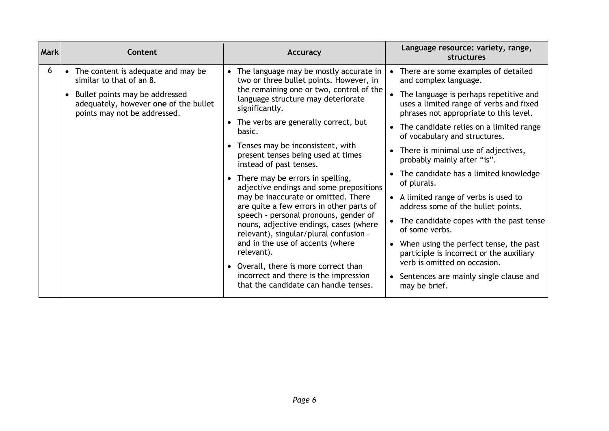| <b>Mark</b> | Content                                                                                                   | <b>Accuracy</b>                                                                                                                                                                                              | Language resource: variety, range,<br>structures                                                                            |
|-------------|-----------------------------------------------------------------------------------------------------------|--------------------------------------------------------------------------------------------------------------------------------------------------------------------------------------------------------------|-----------------------------------------------------------------------------------------------------------------------------|
| 6           | • The content is adequate and may be<br>similar to that of an 8.                                          | The language may be mostly accurate in<br>two or three bullet points. However, in                                                                                                                            | There are some examples of detailed<br>and complex language.                                                                |
|             | • Bullet points may be addressed<br>adequately, however one of the bullet<br>points may not be addressed. | the remaining one or two, control of the<br>language structure may deteriorate<br>significantly.                                                                                                             | The language is perhaps repetitive and<br>uses a limited range of verbs and fixed<br>phrases not appropriate to this level. |
|             |                                                                                                           | • The verbs are generally correct, but<br>basic.                                                                                                                                                             | The candidate relies on a limited range<br>of vocabulary and structures.                                                    |
|             |                                                                                                           | • Tenses may be inconsistent, with<br>present tenses being used at times<br>instead of past tenses.                                                                                                          | There is minimal use of adjectives,<br>probably mainly after "is".                                                          |
|             |                                                                                                           | • There may be errors in spelling,<br>adjective endings and some prepositions                                                                                                                                | The candidate has a limited knowledge<br>of plurals.                                                                        |
|             |                                                                                                           | may be inaccurate or omitted. There<br>are quite a few errors in other parts of<br>speech - personal pronouns, gender of<br>nouns, adjective endings, cases (where<br>relevant), singular/plural confusion - | • A limited range of verbs is used to<br>address some of the bullet points.                                                 |
|             |                                                                                                           |                                                                                                                                                                                                              | The candidate copes with the past tense<br>of some verbs.                                                                   |
|             | relevant).                                                                                                | and in the use of accents (where                                                                                                                                                                             | When using the perfect tense, the past<br>$\bullet$<br>participle is incorrect or the auxiliary                             |
|             |                                                                                                           | • Overall, there is more correct than<br>incorrect and there is the impression<br>that the candidate can handle tenses.                                                                                      | verb is omitted on occasion.<br>Sentences are mainly single clause and<br>may be brief.                                     |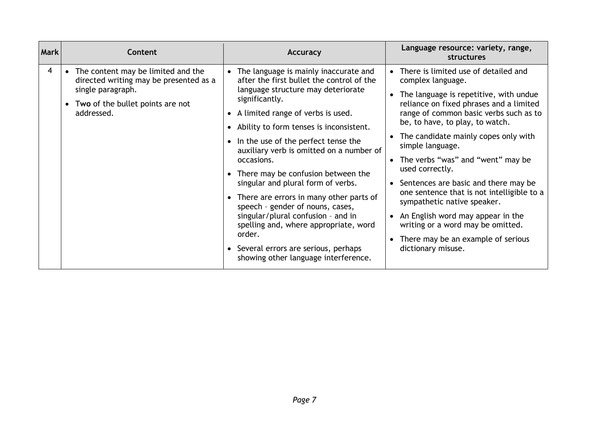| 4<br>• The content may be limited and the<br>There is limited use of detailed and<br>• The language is mainly inaccurate and<br>after the first bullet the control of the<br>directed writing may be presented as a<br>complex language.<br>single paragraph.<br>language structure may deteriorate<br>The language is repetitive, with undue<br>significantly.<br>reliance on fixed phrases and a limited<br>Two of the bullet points are not<br>range of common basic verbs such as to<br>addressed.<br>• A limited range of verbs is used.<br>be, to have, to play, to watch.<br>• Ability to form tenses is inconsistent.<br>The candidate mainly copes only with<br>• In the use of the perfect tense the<br>simple language.<br>auxiliary verb is omitted on a number of<br>• The verbs "was" and "went" may be<br>occasions.<br>used correctly.<br>• There may be confusion between the<br>singular and plural form of verbs.<br>• Sentences are basic and there may be<br>one sentence that is not intelligible to a<br>• There are errors in many other parts of<br>sympathetic native speaker.<br>speech - gender of nouns, cases,<br>singular/plural confusion - and in<br>• An English word may appear in the<br>writing or a word may be omitted.<br>spelling and, where appropriate, word<br>order.<br>There may be an example of serious<br>• Several errors are serious, perhaps<br>dictionary misuse.<br>showing other language interference. |
|----------------------------------------------------------------------------------------------------------------------------------------------------------------------------------------------------------------------------------------------------------------------------------------------------------------------------------------------------------------------------------------------------------------------------------------------------------------------------------------------------------------------------------------------------------------------------------------------------------------------------------------------------------------------------------------------------------------------------------------------------------------------------------------------------------------------------------------------------------------------------------------------------------------------------------------------------------------------------------------------------------------------------------------------------------------------------------------------------------------------------------------------------------------------------------------------------------------------------------------------------------------------------------------------------------------------------------------------------------------------------------------------------------------------------------------------------------------|
|                                                                                                                                                                                                                                                                                                                                                                                                                                                                                                                                                                                                                                                                                                                                                                                                                                                                                                                                                                                                                                                                                                                                                                                                                                                                                                                                                                                                                                                                |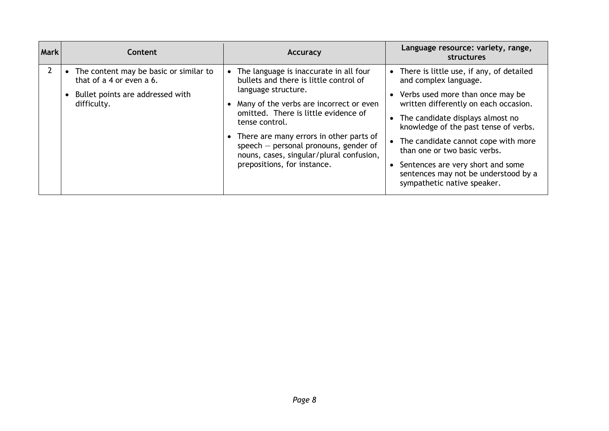| <b>Mark</b> | <b>Content</b>                                                                                                        | Accuracy                                                                                                                                                                                                                                                                                                                                                                            | Language resource: variety, range,<br><b>structures</b>                                                                                                                                                                                                                                                                                                                                                          |
|-------------|-----------------------------------------------------------------------------------------------------------------------|-------------------------------------------------------------------------------------------------------------------------------------------------------------------------------------------------------------------------------------------------------------------------------------------------------------------------------------------------------------------------------------|------------------------------------------------------------------------------------------------------------------------------------------------------------------------------------------------------------------------------------------------------------------------------------------------------------------------------------------------------------------------------------------------------------------|
|             | The content may be basic or similar to<br>that of a 4 or even a 6.<br>Bullet points are addressed with<br>difficulty. | • The language is inaccurate in all four<br>bullets and there is little control of<br>language structure.<br>• Many of the verbs are incorrect or even<br>omitted. There is little evidence of<br>tense control.<br>• There are many errors in other parts of<br>speech $-$ personal pronouns, gender of<br>nouns, cases, singular/plural confusion,<br>prepositions, for instance. | There is little use, if any, of detailed<br>and complex language.<br>• Verbs used more than once may be<br>written differently on each occasion.<br>The candidate displays almost no<br>knowledge of the past tense of verbs.<br>The candidate cannot cope with more<br>than one or two basic verbs.<br>Sentences are very short and some<br>sentences may not be understood by a<br>sympathetic native speaker. |